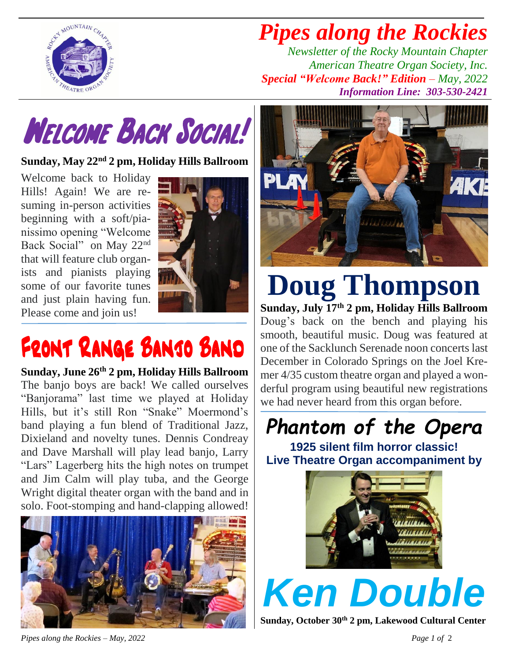

## *Pipes along the Rockies*

*Newsletter of the Rocky Mountain Chapter American Theatre Organ Society, Inc. Special "Welcome Back!" Edition – May, 2022 Information Line: 303-530-2421*



**Sunday, May 22nd 2 pm, Holiday Hills Ballroom**

Welcome back to Holiday Hills! Again! We are resuming in-person activities beginning with a soft/pianissimo opening "Welcome Back Social" on May 22nd that will feature club organists and pianists playing some of our favorite tunes and just plain having fun. Please come and join us!



# FRONT RANGE BANJO BAND

**Sunday, June 26th 2 pm, Holiday Hills Ballroom** The banjo boys are back! We called ourselves "Banjorama" last time we played at Holiday Hills, but it's still Ron "Snake" Moermond's band playing a fun blend of Traditional Jazz, Dixieland and novelty tunes. Dennis Condreay and Dave Marshall will play lead banjo, Larry "Lars" Lagerberg hits the high notes on trumpet and Jim Calm will play tuba, and the George Wright digital theater organ with the band and in solo. Foot-stomping and hand-clapping allowed!





### **Doug Thompson Sunday, July 17th 2 pm, Holiday Hills Ballroom**

Doug's back on the bench and playing his smooth, beautiful music. Doug was featured at one of the Sacklunch Serenade noon concerts last December in Colorado Springs on the Joel Kremer 4/35 custom theatre organ and played a wonderful program using beautiful new registrations we had never heard from this organ before.

*Phantom of the Opera*

**1925 silent film horror classic! Live Theatre Organ accompaniment by**



*Ken Double*

**Sunday, October 30th 2 pm, Lakewood Cultural Center**

*Pipes along the Rockies – May, 2022 Page 1 of* 2